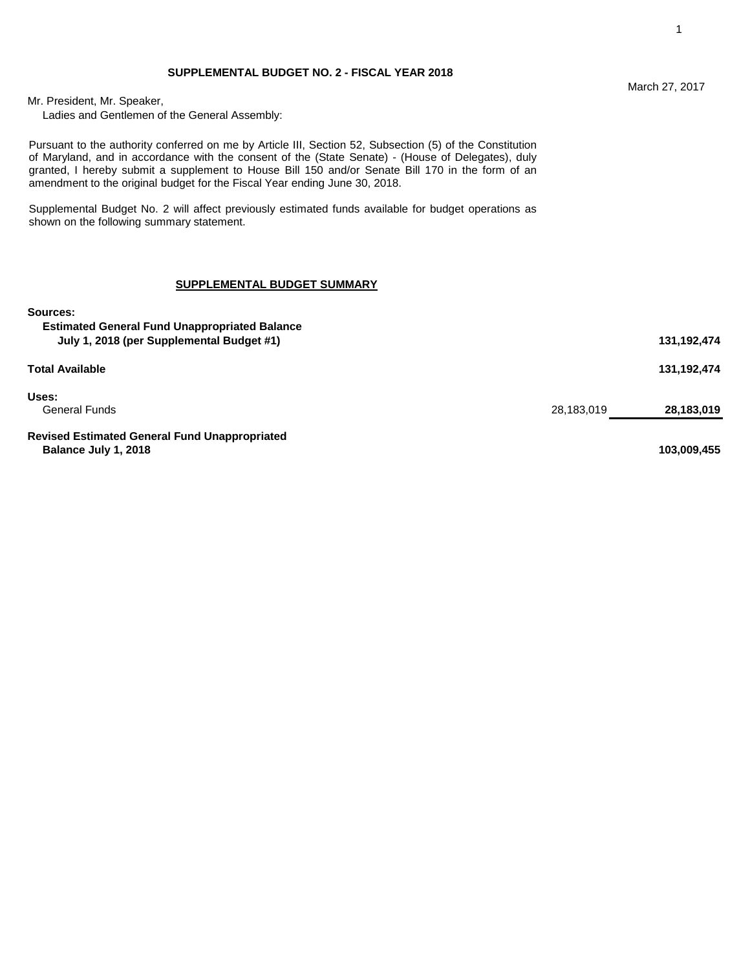Ladies and Gentlemen of the General Assembly:

Pursuant to the authority conferred on me by Article III, Section 52, Subsection (5) of the Constitution of Maryland, and in accordance with the consent of the (State Senate) - (House of Delegates), duly granted, I hereby submit a supplement to House Bill 150 and/or Senate Bill 170 in the form of an amendment to the original budget for the Fiscal Year ending June 30, 2018.

Supplemental Budget No. 2 will affect previously estimated funds available for budget operations as shown on the following summary statement.

### **SUPPLEMENTAL BUDGET SUMMARY**

| Sources:<br><b>Estimated General Fund Unappropriated Balance</b><br>July 1, 2018 (per Supplemental Budget #1) |            | 131,192,474 |
|---------------------------------------------------------------------------------------------------------------|------------|-------------|
| <b>Total Available</b>                                                                                        |            | 131,192,474 |
| Uses:<br><b>General Funds</b>                                                                                 | 28,183,019 | 28,183,019  |
| <b>Revised Estimated General Fund Unappropriated</b><br>Balance July 1, 2018                                  |            | 103,009,455 |

### March 27, 2017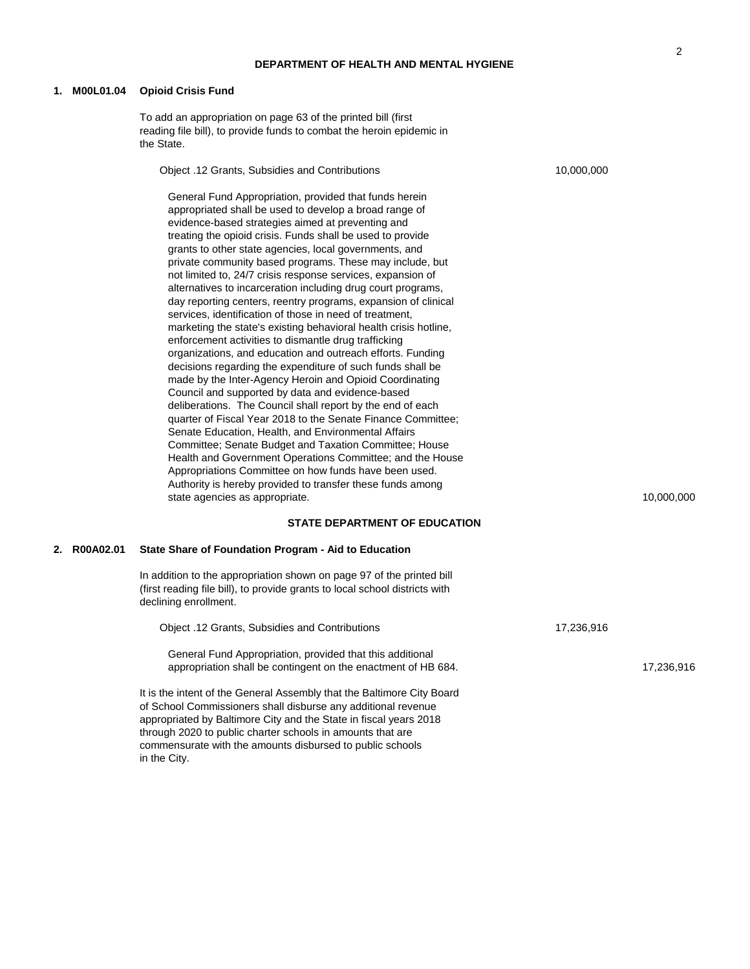## **DEPARTMENT OF HEALTH AND MENTAL HYGIENE**

### **1. M00L01.04 Opioid Crisis Fund**

in the City.

To add an appropriation on page 63 of the printed bill (first reading file bill), to provide funds to combat the heroin epidemic in the State.

| Object .12 Grants, Subsidies and Contributions |                                                                                                                                                                                                                                                                                                                                                                                                                                                                                                                                                                                                                                                                                                                                                                                                                                                                                                                                                                                                                                                                                                                                                                                                                                                                                                                                                                                                                                                                   | 10,000,000 |            |
|------------------------------------------------|-------------------------------------------------------------------------------------------------------------------------------------------------------------------------------------------------------------------------------------------------------------------------------------------------------------------------------------------------------------------------------------------------------------------------------------------------------------------------------------------------------------------------------------------------------------------------------------------------------------------------------------------------------------------------------------------------------------------------------------------------------------------------------------------------------------------------------------------------------------------------------------------------------------------------------------------------------------------------------------------------------------------------------------------------------------------------------------------------------------------------------------------------------------------------------------------------------------------------------------------------------------------------------------------------------------------------------------------------------------------------------------------------------------------------------------------------------------------|------------|------------|
|                                                | General Fund Appropriation, provided that funds herein<br>appropriated shall be used to develop a broad range of<br>evidence-based strategies aimed at preventing and<br>treating the opioid crisis. Funds shall be used to provide<br>grants to other state agencies, local governments, and<br>private community based programs. These may include, but<br>not limited to, 24/7 crisis response services, expansion of<br>alternatives to incarceration including drug court programs,<br>day reporting centers, reentry programs, expansion of clinical<br>services, identification of those in need of treatment,<br>marketing the state's existing behavioral health crisis hotline,<br>enforcement activities to dismantle drug trafficking<br>organizations, and education and outreach efforts. Funding<br>decisions regarding the expenditure of such funds shall be<br>made by the Inter-Agency Heroin and Opioid Coordinating<br>Council and supported by data and evidence-based<br>deliberations. The Council shall report by the end of each<br>quarter of Fiscal Year 2018 to the Senate Finance Committee;<br>Senate Education, Health, and Environmental Affairs<br>Committee; Senate Budget and Taxation Committee; House<br>Health and Government Operations Committee; and the House<br>Appropriations Committee on how funds have been used.<br>Authority is hereby provided to transfer these funds among<br>state agencies as appropriate. |            | 10,000,000 |
|                                                | <b>STATE DEPARTMENT OF EDUCATION</b>                                                                                                                                                                                                                                                                                                                                                                                                                                                                                                                                                                                                                                                                                                                                                                                                                                                                                                                                                                                                                                                                                                                                                                                                                                                                                                                                                                                                                              |            |            |
| 2. R00A02.01                                   | State Share of Foundation Program - Aid to Education                                                                                                                                                                                                                                                                                                                                                                                                                                                                                                                                                                                                                                                                                                                                                                                                                                                                                                                                                                                                                                                                                                                                                                                                                                                                                                                                                                                                              |            |            |
|                                                | In addition to the appropriation shown on page 97 of the printed bill<br>(first reading file bill), to provide grants to local school districts with<br>declining enrollment.                                                                                                                                                                                                                                                                                                                                                                                                                                                                                                                                                                                                                                                                                                                                                                                                                                                                                                                                                                                                                                                                                                                                                                                                                                                                                     |            |            |
|                                                | Object .12 Grants, Subsidies and Contributions                                                                                                                                                                                                                                                                                                                                                                                                                                                                                                                                                                                                                                                                                                                                                                                                                                                                                                                                                                                                                                                                                                                                                                                                                                                                                                                                                                                                                    | 17,236,916 |            |
|                                                | General Fund Appropriation, provided that this additional<br>appropriation shall be contingent on the enactment of HB 684.                                                                                                                                                                                                                                                                                                                                                                                                                                                                                                                                                                                                                                                                                                                                                                                                                                                                                                                                                                                                                                                                                                                                                                                                                                                                                                                                        |            | 17,236,916 |
|                                                | It is the intent of the General Assembly that the Baltimore City Board<br>of School Commissioners shall disburse any additional revenue<br>appropriated by Baltimore City and the State in fiscal years 2018<br>through 2020 to public charter schools in amounts that are<br>commensurate with the amounts disbursed to public schools                                                                                                                                                                                                                                                                                                                                                                                                                                                                                                                                                                                                                                                                                                                                                                                                                                                                                                                                                                                                                                                                                                                           |            |            |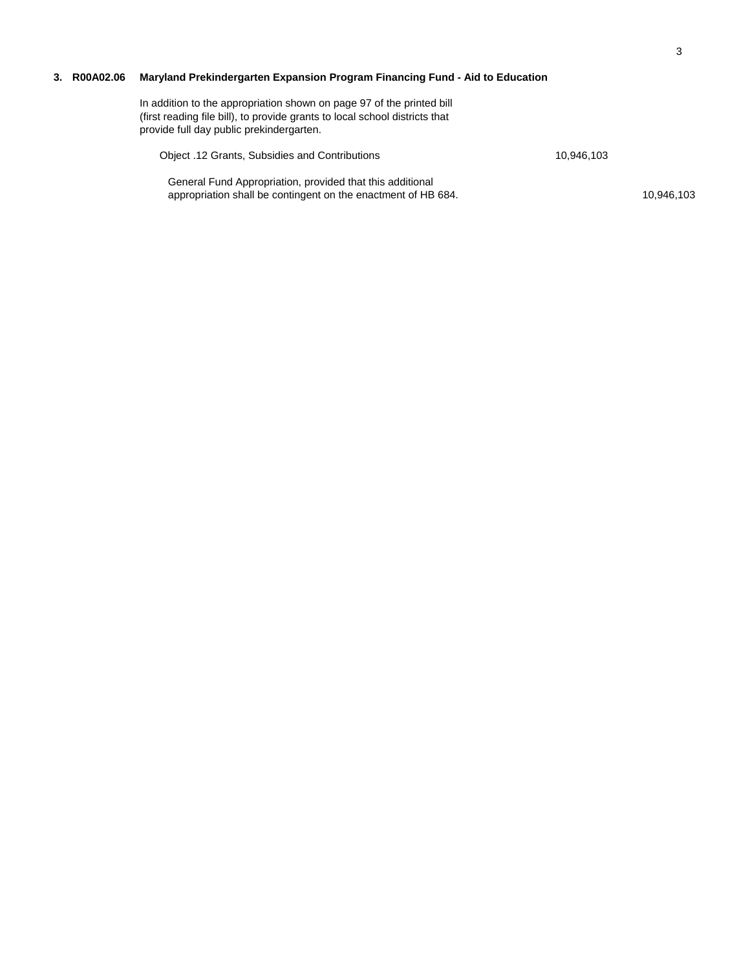# **3. R00A02.06 Maryland Prekindergarten Expansion Program Financing Fund - Aid to Education**

| In addition to the appropriation shown on page 97 of the printed bill<br>(first reading file bill), to provide grants to local school districts that<br>provide full day public prekindergarten. |            |            |
|--------------------------------------------------------------------------------------------------------------------------------------------------------------------------------------------------|------------|------------|
| Object .12 Grants, Subsidies and Contributions                                                                                                                                                   | 10.946.103 |            |
| General Fund Appropriation, provided that this additional<br>appropriation shall be contingent on the enactment of HB 684.                                                                       |            | 10.946.103 |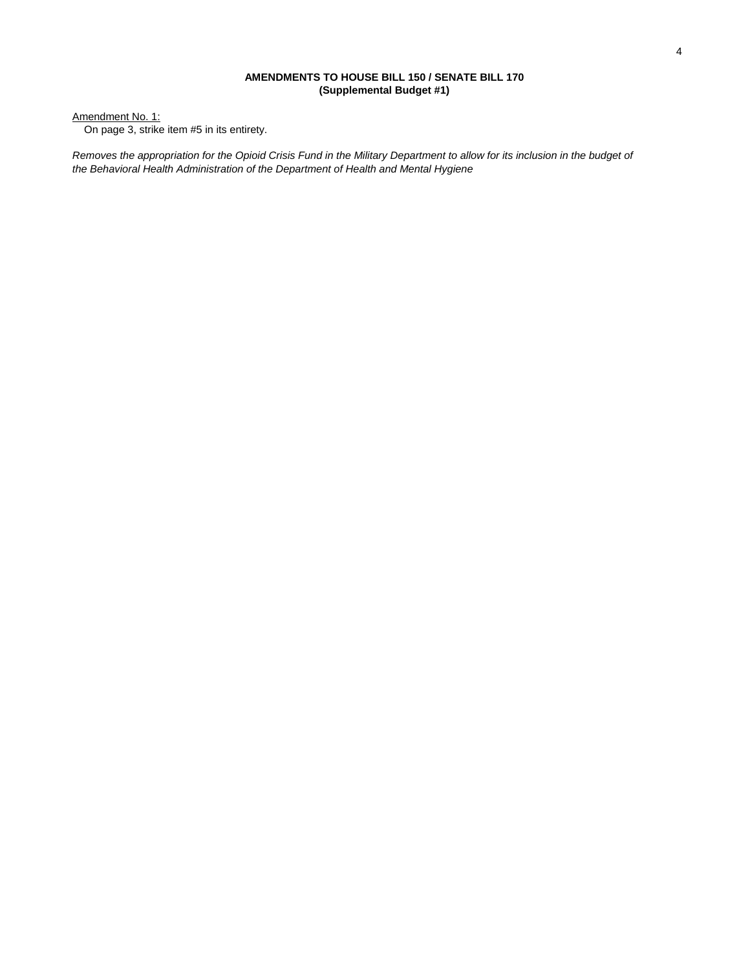## **AMENDMENTS TO HOUSE BILL 150 / SENATE BILL 170 (Supplemental Budget #1)**

Amendment No. 1:

On page 3, strike item #5 in its entirety.

*Removes the appropriation for the Opioid Crisis Fund in the Military Department to allow for its inclusion in the budget of the Behavioral Health Administration of the Department of Health and Mental Hygiene*